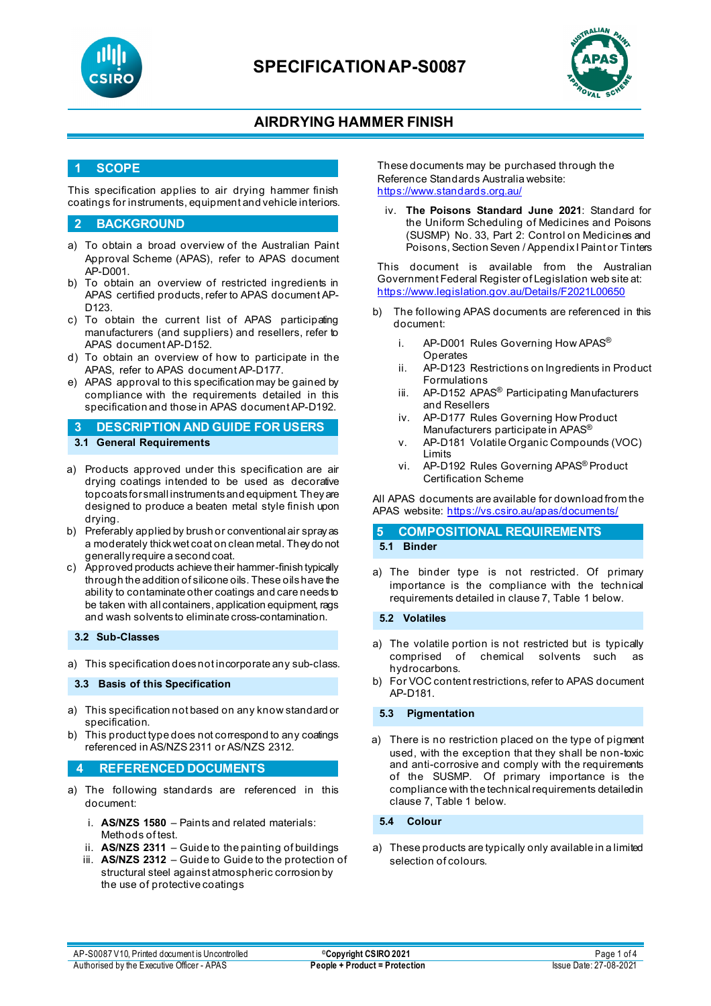



## **1 SCOPE**

This specification applies to air drying hammer finish coatings for instruments, equipment and vehicle interiors.

### **2 BACKGROUND**

- a) To obtain a broad overview of the Australian Paint Approval Scheme (APAS), refer to APAS document AP-D001.
- b) To obtain an overview of restricted ingredients in APAS certified products, refer to APAS document AP-D123.
- c) To obtain the current list of APAS participating manufacturers (and suppliers) and resellers, refer to APAS document AP-D152.
- d) To obtain an overview of how to participate in the APAS, refer to APAS document AP-D177.
- e) APAS approval to this specification may be gained by compliance with the requirements detailed in this specification and those in APAS document AP-D192.
- **3 DESCRIPTION AND GUIDE FOR USERS 3.1 General Requirements**
- a) Products approved under this specification are air drying coatings intended to be used as decorative topcoats for small instruments and equipment. They are designed to produce a beaten metal style finish upon drying.
- b) Preferably applied by brush or conventional air spray as a moderately thickwet coat on clean metal. They do not generally require a second coat.
- c) Approved products achieve their hammer-finish typically through the addition of silicone oils. These oils have the ability to contaminate other coatings and care needs to be taken with all containers, application equipment, rags and wash solvents to eliminate cross-contamination.

#### **3.2 Sub-Classes**

a) This specification does not incorporate any sub-class.

### **3.3 Basis of this Specification**

- a) This specification not based on any know standard or specification.
- b) This product type does not correspond to any coatings referenced in AS/NZS 2311 or AS/NZS 2312.

### **4 REFERENCED DOCUMENTS**

- a) The following standards are referenced in this document:
	- i. **AS/NZS 1580** Paints and related materials: Methods of test.
	- ii. **AS/NZS 2311** Guide to the painting of buildings
	- iii. **AS/NZS 2312** Guide to Guide to the protection of structural steel against atmospheric corrosion by the use of protective coatings

These documents may be purchased through the Reference Standards Australia website: <https://www.standards.org.au/>

iv. **The Poisons Standard June 2021**: Standard for the Uniform Scheduling of Medicines and Poisons (SUSMP) No. 33, Part 2: Control on Medicines and Poisons, Section Seven / Appendix I Paint or Tinters

This document is available from the Australian Government Federal Register of Legislation web site at: <https://www.legislation.gov.au/Details/F2021L00650>

- b) The following APAS documents are referenced in this document:
	- i. AP-D001 Rules Governing How APAS<sup>®</sup> **Operates**
	- ii. AP-D123 Restrictions on Ingredients in Product Formulations
	- iii. AP-D152 APAS<sup>®</sup> Participating Manufacturers and Resellers
	- iv. AP-D177 Rules Governing How Product Manufacturers participate in APAS<sup>®</sup>
	- v. AP-D181 Volatile Organic Compounds (VOC) Limits
	- vi. AP-D192 Rules Governing APAS® Product Certification Scheme

All APAS documents are available for download from the APAS website: <https://vs.csiro.au/apas/documents/>

### **5 COMPOSITIONAL REQUIREMENTS 5.1 Binder**

a) The binder type is not restricted. Of primary importance is the compliance with the technical requirements detailed in clause 7, Table 1 below.

**5.2 Volatiles**

- a) The volatile portion is not restricted but is typically comprised of chemical solvents such hydrocarbons.
- b) For VOC content restrictions, refer to APAS document AP-D181.

### **5.3 Pigmentation**

a) There is no restriction placed on the type of pigment used, with the exception that they shall be non-toxic and anti-corrosive and comply with the requirements of the SUSMP. Of primary importance is the compliance with the technical requirements detailed in clause 7, Table 1 below.

**5.4 Colour**

a) These products are typically only available in a limited selection of colours.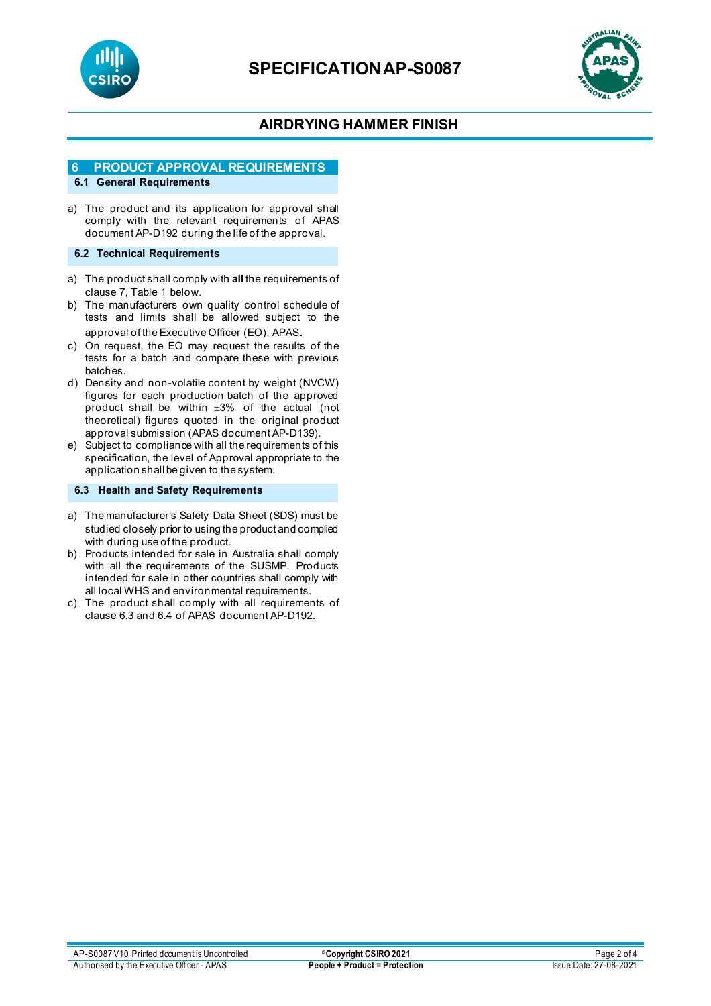



## **6 PRODUCT APPROVAL REQUIREMENTS**

## **6.1 General Requirements**

a) The product and its application for approval shall comply with the relevant requirements of APAS document AP-D192 during the life of the approval.

### **6.2 Technical Requirements**

- a) The product shall comply with **all** the requirements of clause 7, Table 1 below.
- b) The manufacturers own quality control schedule of tests and limits shall be allowed subject to the approval of the Executive Officer (EO), APAS.
- c) On request, the EO may request the results of the tests for a batch and compare these with previous batches.
- d) Density and non-volatile content by weight (NVCW) figures for each production batch of the approved product shall be within ±3% of the actual (not theoretical) figures quoted in the original product approval submission (APAS document AP-D139).
- e) Subject to compliance with all the requirements of this specification, the level of Approval appropriate to the application shall be given to the system.

### **6.3 Health and Safety Requirements**

- a) The manufacturer's Safety Data Sheet (SDS) must be studied closely prior to using the product and complied with during use of the product.
- b) Products intended for sale in Australia shall comply with all the requirements of the SUSMP. Products intended for sale in other countries shall comply with all local WHS and environmental requirements.
- c) The product shall comply with all requirements of clause 6.3 and 6.4 of APAS document AP-D192.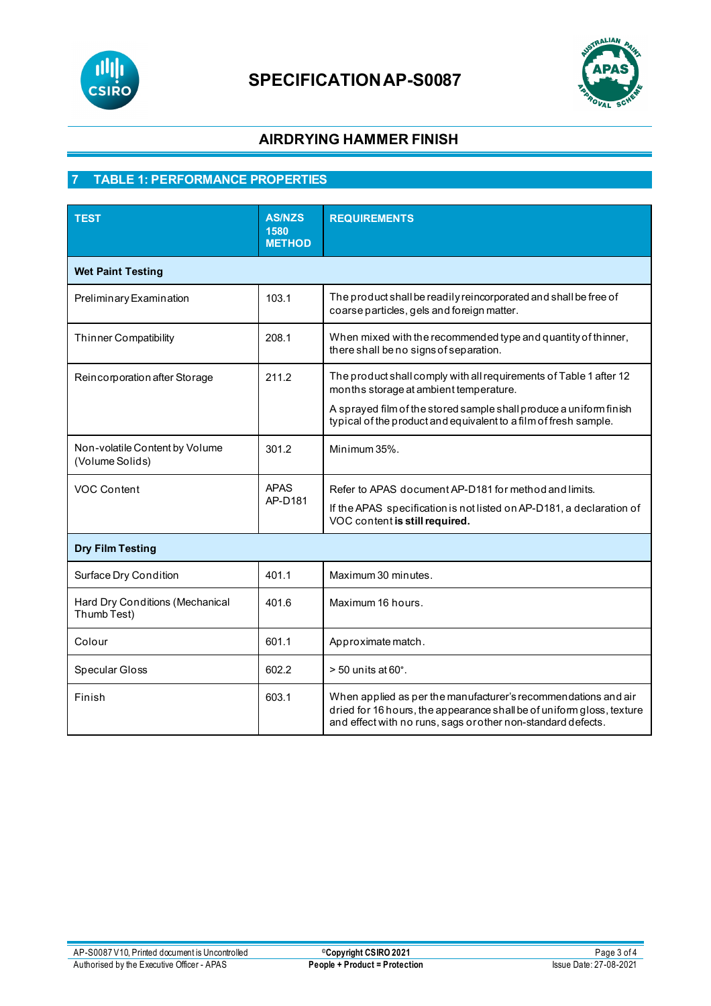



# **7 TABLE 1: PERFORMANCE PROPERTIES**

| <b>TEST</b>                                       | <b>AS/NZS</b><br>1580<br><b>METHOD</b> | <b>REQUIREMENTS</b>                                                                                                                                                                                     |  |
|---------------------------------------------------|----------------------------------------|---------------------------------------------------------------------------------------------------------------------------------------------------------------------------------------------------------|--|
| <b>Wet Paint Testing</b>                          |                                        |                                                                                                                                                                                                         |  |
| Preliminary Examination                           | 103.1                                  | The product shall be readily reincorporated and shall be free of<br>coarse particles, gels and foreign matter.                                                                                          |  |
| <b>Thinner Compatibility</b>                      | 208.1                                  | When mixed with the recommended type and quantity of thinner,<br>there shall be no signs of separation.                                                                                                 |  |
| Reincorporation after Storage                     | 211.2                                  | The product shall comply with all requirements of Table 1 after 12<br>months storage at ambient temperature.                                                                                            |  |
|                                                   |                                        | A sprayed film of the stored sample shall produce a uniform finish<br>typical of the product and equivalent to a film of fresh sample.                                                                  |  |
| Non-volatile Content by Volume<br>(Volume Solids) | 301.2                                  | Minimum 35%.                                                                                                                                                                                            |  |
| <b>VOC Content</b>                                | <b>APAS</b>                            | Refer to APAS document AP-D181 for method and limits.                                                                                                                                                   |  |
|                                                   | AP-D181                                | If the APAS specification is not listed on AP-D181, a declaration of<br>VOC content is still required.                                                                                                  |  |
| <b>Dry Film Testing</b>                           |                                        |                                                                                                                                                                                                         |  |
| Surface Dry Condition                             | 401.1                                  | Maximum 30 minutes.                                                                                                                                                                                     |  |
| Hard Dry Conditions (Mechanical<br>Thumb Test)    | 401.6                                  | Maximum 16 hours.                                                                                                                                                                                       |  |
| Colour                                            | 601.1                                  | Approximate match.                                                                                                                                                                                      |  |
| Specular Gloss                                    | 602.2                                  | $> 50$ units at $60^\circ$ .                                                                                                                                                                            |  |
| Finish                                            | 603.1                                  | When applied as per the manufacturer's recommendations and air<br>dried for 16 hours, the appearance shall be of uniform gloss, texture<br>and effect with no runs, sags or other non-standard defects. |  |